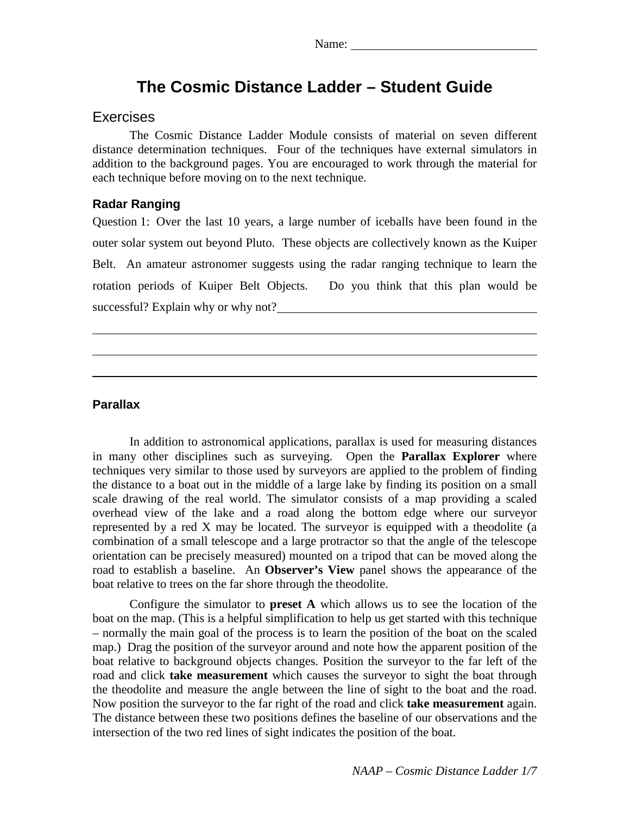# **The Cosmic Distance Ladder – Student Guide**

### Exercises

The Cosmic Distance Ladder Module consists of material on seven different distance determination techniques. Four of the techniques have external simulators in addition to the background pages. You are encouraged to work through the material for each technique before moving on to the next technique.

### **Radar Ranging**

Question 1: Over the last 10 years, a large number of iceballs have been found in the outer solar system out beyond Pluto. These objects are collectively known as the Kuiper Belt. An amateur astronomer suggests using the radar ranging technique to learn the rotation periods of Kuiper Belt Objects. Do you think that this plan would be successful? Explain why or why not?

#### **Parallax**

In addition to astronomical applications, parallax is used for measuring distances in many other disciplines such as surveying. Open the **Parallax Explorer** where techniques very similar to those used by surveyors are applied to the problem of finding the distance to a boat out in the middle of a large lake by finding its position on a small scale drawing of the real world. The simulator consists of a map providing a scaled overhead view of the lake and a road along the bottom edge where our surveyor represented by a red X may be located. The surveyor is equipped with a theodolite (a combination of a small telescope and a large protractor so that the angle of the telescope orientation can be precisely measured) mounted on a tripod that can be moved along the road to establish a baseline. An **Observer's View** panel shows the appearance of the boat relative to trees on the far shore through the theodolite.

Configure the simulator to **preset A** which allows us to see the location of the boat on the map. (This is a helpful simplification to help us get started with this technique – normally the main goal of the process is to learn the position of the boat on the scaled map.) Drag the position of the surveyor around and note how the apparent position of the boat relative to background objects changes. Position the surveyor to the far left of the road and click **take measurement** which causes the surveyor to sight the boat through the theodolite and measure the angle between the line of sight to the boat and the road. Now position the surveyor to the far right of the road and click **take measurement** again. The distance between these two positions defines the baseline of our observations and the intersection of the two red lines of sight indicates the position of the boat.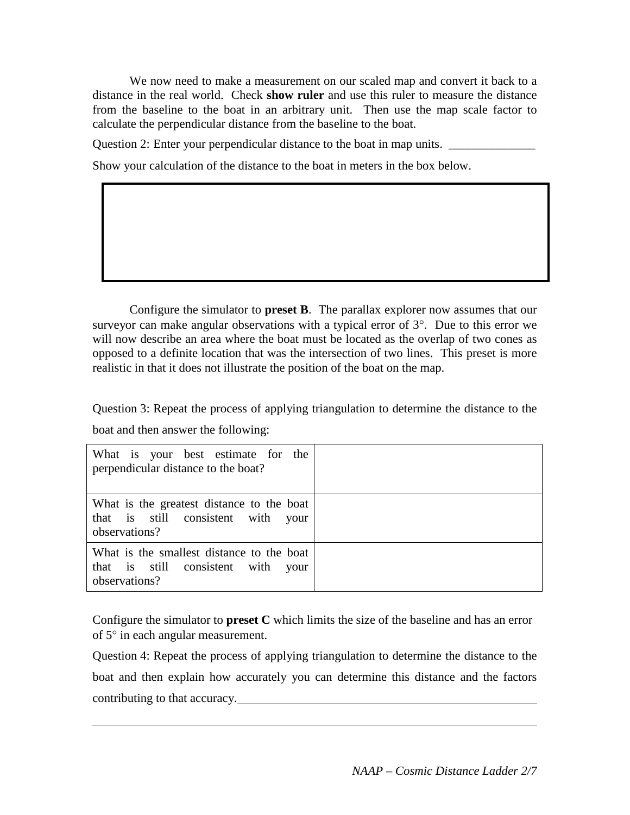We now need to make a measurement on our scaled map and convert it back to a distance in the real world. Check **show ruler** and use this ruler to measure the distance from the baseline to the boat in an arbitrary unit. Then use the map scale factor to calculate the perpendicular distance from the baseline to the boat.

Question 2: Enter your perpendicular distance to the boat in map units. \_\_\_\_\_\_\_\_\_\_\_\_\_\_\_

Show your calculation of the distance to the boat in meters in the box below.

Configure the simulator to **preset B**. The parallax explorer now assumes that our surveyor can make angular observations with a typical error of  $3^\circ$ . Due to this error we will now describe an area where the boat must be located as the overlap of two cones as opposed to a definite location that was the intersection of two lines. This preset is more realistic in that it does not illustrate the position of the boat on the map.

Question 3: Repeat the process of applying triangulation to determine the distance to the boat and then answer the following:

| What is your best estimate for the<br>perpendicular distance to the boat?                           |  |
|-----------------------------------------------------------------------------------------------------|--|
| What is the greatest distance to the boat<br>that is still consistent with<br>your<br>observations? |  |
| What is the smallest distance to the boat<br>that is still consistent with<br>your<br>observations? |  |

Configure the simulator to **preset C** which limits the size of the baseline and has an error of 5° in each angular measurement.

Question 4: Repeat the process of applying triangulation to determine the distance to the boat and then explain how accurately you can determine this distance and the factors contributing to that accuracy.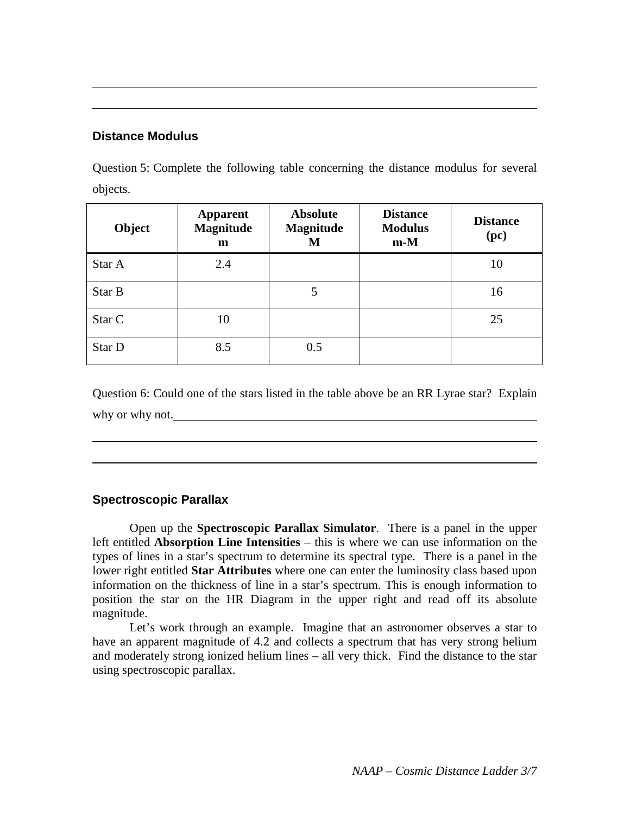### **Distance Modulus**

Question 5: Complete the following table concerning the distance modulus for several objects.

| Object | <b>Apparent</b><br><b>Magnitude</b><br>m | <b>Absolute</b><br><b>Magnitude</b><br>М | <b>Distance</b><br><b>Modulus</b><br>$m-M$ | <b>Distance</b><br>(pc) |
|--------|------------------------------------------|------------------------------------------|--------------------------------------------|-------------------------|
| Star A | 2.4                                      |                                          |                                            | 10                      |
| Star B |                                          | 5                                        |                                            | 16                      |
| Star C | 10                                       |                                          |                                            | 25                      |
| Star D | 8.5                                      | 0.5                                      |                                            |                         |

Question 6: Could one of the stars listed in the table above be an RR Lyrae star? Explain why or why not.

# **Spectroscopic Parallax**

Open up the **Spectroscopic Parallax Simulator**. There is a panel in the upper left entitled **Absorption Line Intensities** – this is where we can use information on the types of lines in a star's spectrum to determine its spectral type. There is a panel in the lower right entitled **Star Attributes** where one can enter the luminosity class based upon information on the thickness of line in a star's spectrum. This is enough information to position the star on the HR Diagram in the upper right and read off its absolute magnitude.

Let's work through an example. Imagine that an astronomer observes a star to have an apparent magnitude of 4.2 and collects a spectrum that has very strong helium and moderately strong ionized helium lines – all very thick. Find the distance to the star using spectroscopic parallax.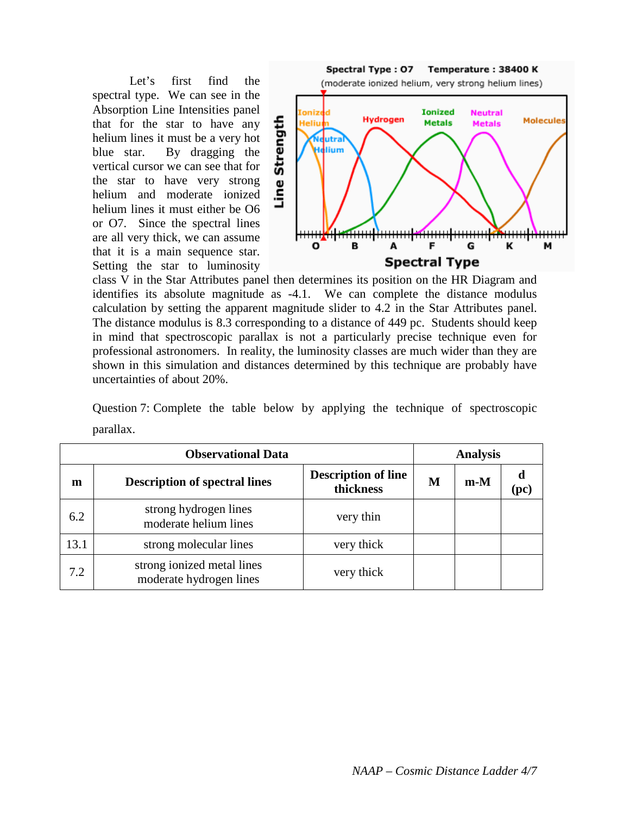Let's first find the spectral type. We can see in the Absorption Line Intensities panel that for the star to have any helium lines it must be a very hot blue star. By dragging the vertical cursor we can see that for the star to have very strong helium and moderate ionized helium lines it must either be O6 or O7. Since the spectral lines are all very thick, we can assume that it is a main sequence star. Setting the star to luminosity



class V in the Star Attributes panel then determines its position on the HR Diagram and identifies its absolute magnitude as -4.1. We can complete the distance modulus calculation by setting the apparent magnitude slider to 4.2 in the Star Attributes panel. The distance modulus is 8.3 corresponding to a distance of 449 pc. Students should keep in mind that spectroscopic parallax is not a particularly precise technique even for professional astronomers. In reality, the luminosity classes are much wider than they are shown in this simulation and distances determined by this technique are probably have uncertainties of about 20%.

Question 7: Complete the table below by applying the technique of spectroscopic parallax.

| <b>Observational Data</b> |                                                       | <b>Analysis</b>                         |   |       |           |
|---------------------------|-------------------------------------------------------|-----------------------------------------|---|-------|-----------|
| m                         | <b>Description of spectral lines</b>                  | <b>Description of line</b><br>thickness | M | $m-M$ | d<br>(pc) |
| 6.2                       | strong hydrogen lines<br>moderate helium lines        | very thin                               |   |       |           |
| 13.1                      | strong molecular lines                                | very thick                              |   |       |           |
| 7.2                       | strong ionized metal lines<br>moderate hydrogen lines | very thick                              |   |       |           |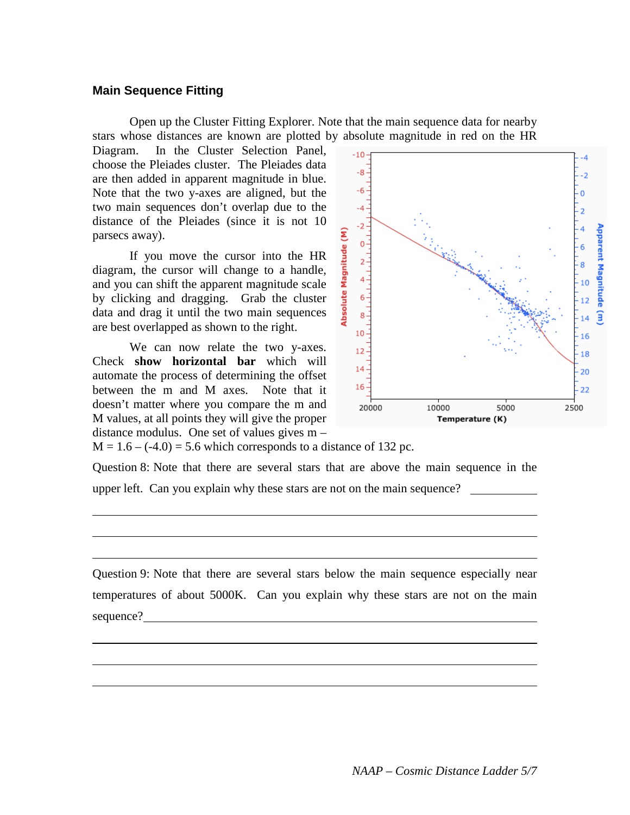### **Main Sequence Fitting**

Open up the Cluster Fitting Explorer. Note that the main sequence data for nearby stars whose distances are known are plotted by absolute magnitude in red on the HR

Diagram. In the Cluster Selection Panel, choose the Pleiades cluster. The Pleiades data are then added in apparent magnitude in blue. Note that the two y-axes are aligned, but the two main sequences don't overlap due to the distance of the Pleiades (since it is not 10 parsecs away).

If you move the cursor into the HR diagram, the cursor will change to a handle, and you can shift the apparent magnitude scale by clicking and dragging. Grab the cluster data and drag it until the two main sequences are best overlapped as shown to the right.

We can now relate the two y-axes. Check **show horizontal bar** which will automate the process of determining the offset between the m and M axes. Note that it doesn't matter where you compare the m and M values, at all points they will give the proper distance modulus. One set of values gives m –



 $M = 1.6 - (-4.0) = 5.6$  which corresponds to a distance of 132 pc.

Question 8: Note that there are several stars that are above the main sequence in the upper left. Can you explain why these stars are not on the main sequence?

Question 9: Note that there are several stars below the main sequence especially near temperatures of about 5000K. Can you explain why these stars are not on the main sequence?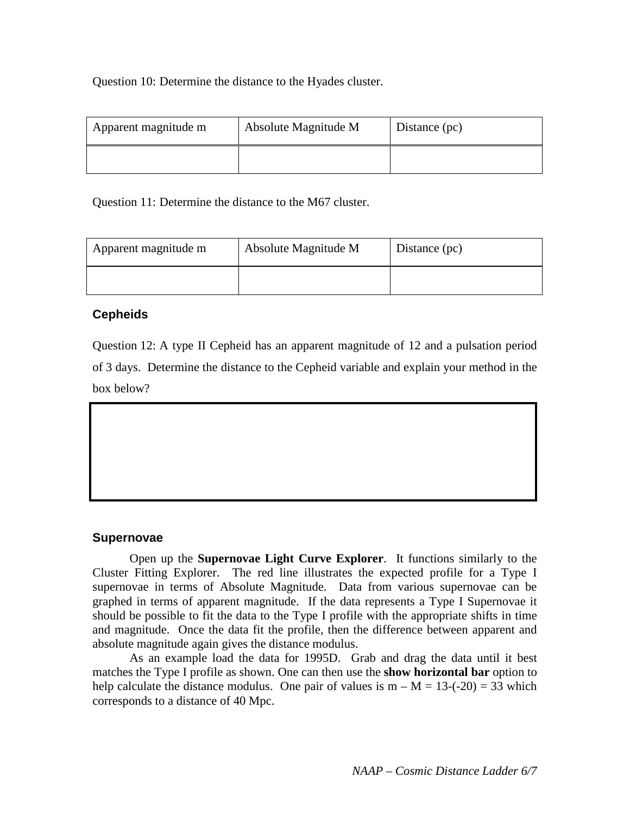Question 10: Determine the distance to the Hyades cluster.

| Apparent magnitude m | Absolute Magnitude M | Distance (pc) |
|----------------------|----------------------|---------------|
|                      |                      |               |

Question 11: Determine the distance to the M67 cluster.

| Apparent magnitude m | Absolute Magnitude M | Distance (pc) |
|----------------------|----------------------|---------------|
|                      |                      |               |

# **Cepheids**

Question 12: A type II Cepheid has an apparent magnitude of 12 and a pulsation period of 3 days. Determine the distance to the Cepheid variable and explain your method in the box below?

### **Supernovae**

Open up the **Supernovae Light Curve Explorer**. It functions similarly to the Cluster Fitting Explorer. The red line illustrates the expected profile for a Type I supernovae in terms of Absolute Magnitude. Data from various supernovae can be graphed in terms of apparent magnitude. If the data represents a Type I Supernovae it should be possible to fit the data to the Type I profile with the appropriate shifts in time and magnitude. Once the data fit the profile, then the difference between apparent and absolute magnitude again gives the distance modulus.

As an example load the data for 1995D. Grab and drag the data until it best matches the Type I profile as shown. One can then use the **show horizontal bar** option to help calculate the distance modulus. One pair of values is  $m - M = 13$ -(-20) = 33 which corresponds to a distance of 40 Mpc.